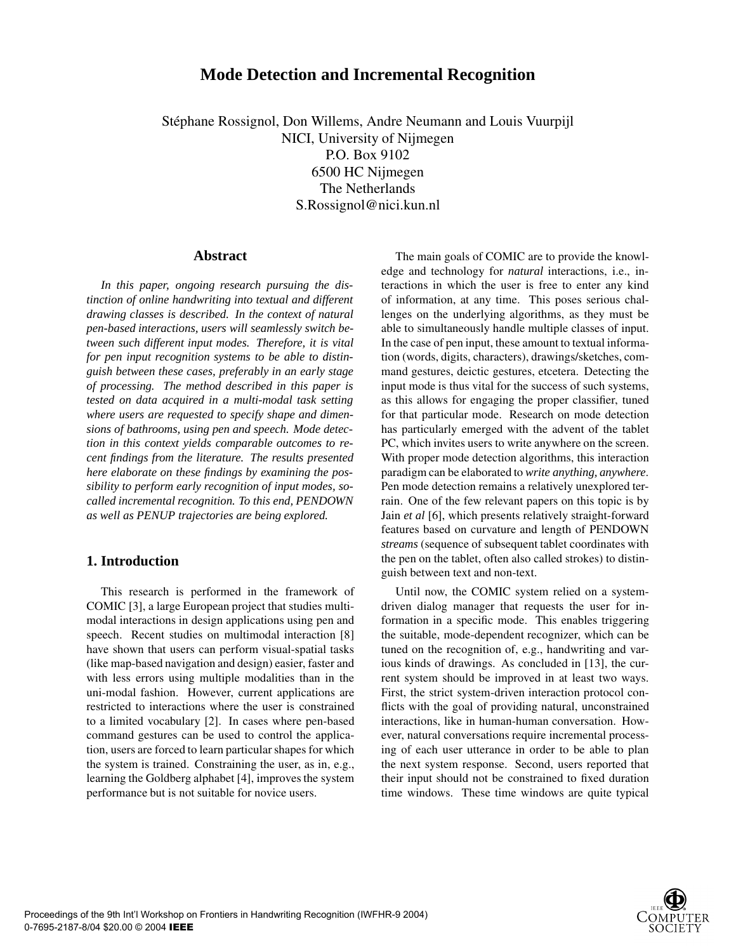# **Mode Detection and Incremental Recognition**

Stéphane Rossignol, Don Willems, Andre Neumann and Louis Vuurpijl NICI, University of Nijmegen P.O. Box 9102 6500 HC Nijmegen The Netherlands S.Rossignol@nici.kun.nl

#### **Abstract**

*In this paper, ongoing research pursuing the distinction of online handwriting into textual and different drawing classes is described. In the context of natural pen-based interactions, users will seamlessly switch between such different input modes. Therefore, it is vital for pen input recognition systems to be able to distinguish between these cases, preferably in an early stage of processing. The method described in this paper is tested on data acquired in a multi-modal task setting where users are requested to specify shape and dimensions of bathrooms, using pen and speech. Mode detection in this context yields comparable outcomes to recent findings from the literature. The results presented here elaborate on these findings by examining the possibility to perform early recognition of input modes, socalled incremental recognition. To this end, PENDOWN as well as PENUP trajectories are being explored.*

# **1. Introduction**

This research is performed in the framework of COMIC [3], a large European project that studies multimodal interactions in design applications using pen and speech. Recent studies on multimodal interaction [8] have shown that users can perform visual-spatial tasks (like map-based navigation and design) easier, faster and with less errors using multiple modalities than in the uni-modal fashion. However, current applications are restricted to interactions where the user is constrained to a limited vocabulary [2]. In cases where pen-based command gestures can be used to control the application, users are forced to learn particular shapes for which the system is trained. Constraining the user, as in, e.g., learning the Goldberg alphabet [4], improves the system performance but is not suitable for novice users.

The main goals of COMIC are to provide the knowledge and technology for *natural* interactions, i.e., interactions in which the user is free to enter any kind of information, at any time. This poses serious challenges on the underlying algorithms, as they must be able to simultaneously handle multiple classes of input. In the case of pen input, these amount to textual information (words, digits, characters), drawings/sketches, command gestures, deictic gestures, etcetera. Detecting the input mode is thus vital for the success of such systems, as this allows for engaging the proper classifier, tuned for that particular mode. Research on mode detection has particularly emerged with the advent of the tablet PC, which invites users to write anywhere on the screen. With proper mode detection algorithms, this interaction paradigm can be elaborated to *write anything, anywhere*. Pen mode detection remains a relatively unexplored terrain. One of the few relevant papers on this topic is by Jain *et al* [6], which presents relatively straight-forward features based on curvature and length of PENDOWN *streams* (sequence of subsequent tablet coordinates with the pen on the tablet, often also called strokes) to distinguish between text and non-text.

Until now, the COMIC system relied on a systemdriven dialog manager that requests the user for information in a specific mode. This enables triggering the suitable, mode-dependent recognizer, which can be tuned on the recognition of, e.g., handwriting and various kinds of drawings. As concluded in [13], the current system should be improved in at least two ways. First, the strict system-driven interaction protocol conflicts with the goal of providing natural, unconstrained interactions, like in human-human conversation. However, natural conversations require incremental processing of each user utterance in order to be able to plan the next system response. Second, users reported that their input should not be constrained to fixed duration time windows. These time windows are quite typical

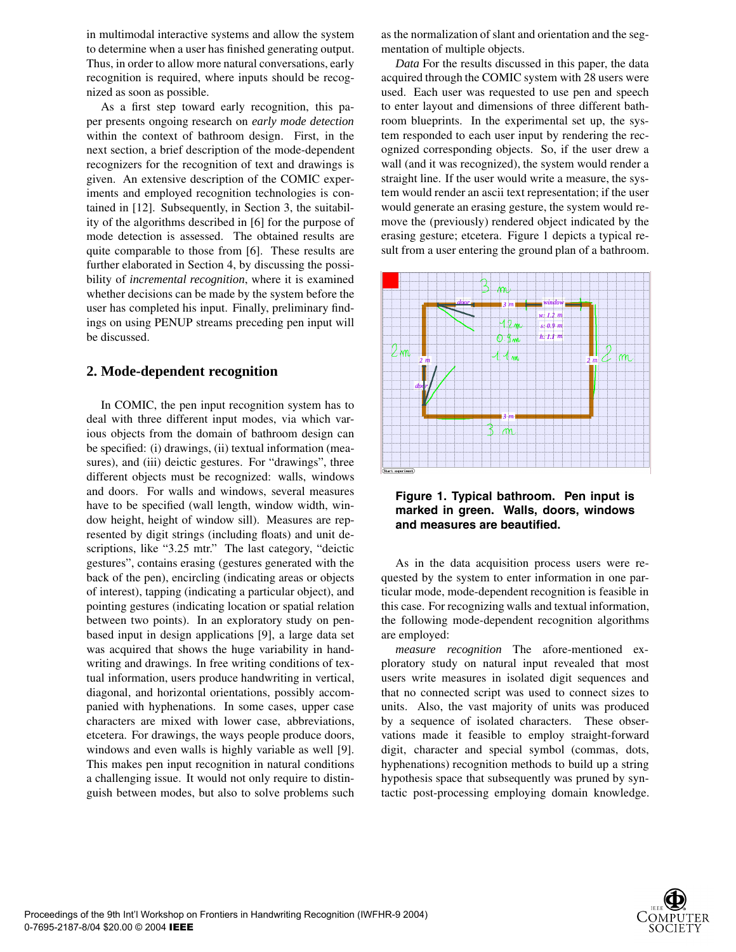in multimodal interactive systems and allow the system to determine when a user has finished generating output. Thus, in order to allow more natural conversations, early recognition is required, where inputs should be recognized as soon as possible.

As a first step toward early recognition, this paper presents ongoing research on *early mode detection* within the context of bathroom design. First, in the next section, a brief description of the mode-dependent recognizers for the recognition of text and drawings is given. An extensive description of the COMIC experiments and employed recognition technologies is contained in [12]. Subsequently, in Section 3, the suitability of the algorithms described in [6] for the purpose of mode detection is assessed. The obtained results are quite comparable to those from [6]. These results are further elaborated in Section 4, by discussing the possibility of *incremental recognition*, where it is examined whether decisions can be made by the system before the user has completed his input. Finally, preliminary findings on using PENUP streams preceding pen input will be discussed.

# **2. Mode-dependent recognition**

In COMIC, the pen input recognition system has to deal with three different input modes, via which various objects from the domain of bathroom design can be specified: (i) drawings, (ii) textual information (measures), and (iii) deictic gestures. For "drawings", three different objects must be recognized: walls, windows and doors. For walls and windows, several measures have to be specified (wall length, window width, window height, height of window sill). Measures are represented by digit strings (including floats) and unit descriptions, like "3.25 mtr." The last category, "deictic gestures", contains erasing (gestures generated with the back of the pen), encircling (indicating areas or objects of interest), tapping (indicating a particular object), and pointing gestures (indicating location or spatial relation between two points). In an exploratory study on penbased input in design applications [9], a large data set was acquired that shows the huge variability in handwriting and drawings. In free writing conditions of textual information, users produce handwriting in vertical, diagonal, and horizontal orientations, possibly accompanied with hyphenations. In some cases, upper case characters are mixed with lower case, abbreviations, etcetera. For drawings, the ways people produce doors, windows and even walls is highly variable as well [9]. This makes pen input recognition in natural conditions a challenging issue. It would not only require to distinguish between modes, but also to solve problems such as the normalization of slant and orientation and the segmentation of multiple objects.

*Data* For the results discussed in this paper, the data acquired through the COMIC system with 28 users were used. Each user was requested to use pen and speech to enter layout and dimensions of three different bathroom blueprints. In the experimental set up, the system responded to each user input by rendering the recognized corresponding objects. So, if the user drew a wall (and it was recognized), the system would render a straight line. If the user would write a measure, the system would render an ascii text representation; if the user would generate an erasing gesture, the system would remove the (previously) rendered object indicated by the erasing gesture; etcetera. Figure 1 depicts a typical result from a user entering the ground plan of a bathroom.



**Figure 1. Typical bathroom. Pen input is marked in green. Walls, doors, windows and measures are beautified.**

As in the data acquisition process users were requested by the system to enter information in one particular mode, mode-dependent recognition is feasible in this case. For recognizing walls and textual information, the following mode-dependent recognition algorithms are employed:

*measure recognition* The afore-mentioned exploratory study on natural input revealed that most users write measures in isolated digit sequences and that no connected script was used to connect sizes to units. Also, the vast majority of units was produced by a sequence of isolated characters. These observations made it feasible to employ straight-forward digit, character and special symbol (commas, dots, hyphenations) recognition methods to build up a string hypothesis space that subsequently was pruned by syntactic post-processing employing domain knowledge.

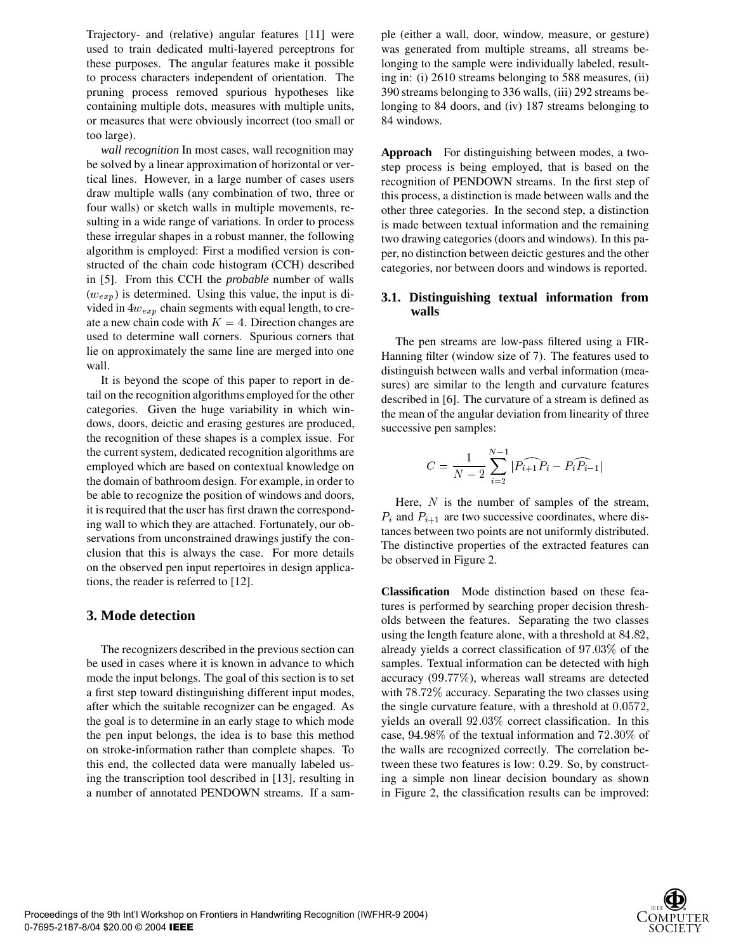Trajectory- and (relative) angular features [11] were used to train dedicated multi-layered perceptrons for these purposes. The angular features make it possible to process characters independent of orientation. The pruning process removed spurious hypotheses like containing multiple dots, measures with multiple units, or measures that were obviously incorrect (too small or too large).

*wall recognition* In most cases, wall recognition may be solved by a linear approximation of horizontal or vertical lines. However, in a large number of cases users draw multiple walls (any combination of two, three or four walls) or sketch walls in multiple movements, resulting in a wide range of variations. In order to process these irregular shapes in a robust manner, the following algorithm is employed: First a modified version is constructed of the chain code histogram (CCH) described in [5]. From this CCH the *probable* number of walls  $(w_{exp})$  is determined. Using this value, the input is divided in  $4w_{exp}$  chain segments with equal length, to create a new chain code with  $K = 4$ . Direction changes are used to determine wall corners. Spurious corners that lie on approximately the same line are merged into one wall.

It is beyond the scope of this paper to report in detail on the recognition algorithms employed for the other categories. Given the huge variability in which windows, doors, deictic and erasing gestures are produced, the recognition of these shapes is a complex issue. For the current system, dedicated recognition algorithms are employed which are based on contextual knowledge on the domain of bathroom design. For example, in order to be able to recognize the position of windows and doors, it is required that the user has first drawn the corresponding wall to which they are attached. Fortunately, our observations from unconstrained drawings justify the conclusion that this is always the case. For more details on the observed pen input repertoires in design applications, the reader is referred to [12].

# **3. Mode detection**

The recognizers described in the previous section can be used in cases where it is known in advance to which mode the input belongs. The goal of this section is to set a first step toward distinguishing different input modes, after which the suitable recognizer can be engaged. As the goal is to determine in an early stage to which mode the pen input belongs, the idea is to base this method on stroke-information rather than complete shapes. To this end, the collected data were manually labeled using the transcription tool described in [13], resulting in a number of annotated PENDOWN streams. If a sample (either a wall, door, window, measure, or gesture) was generated from multiple streams, all streams belonging to the sample were individually labeled, resulting in: (i) 2610 streams belonging to 588 measures, (ii) 390 streams belonging to 336 walls, (iii) 292 streams belonging to 84 doors, and (iv) 187 streams belonging to 84 windows.

**Approach** For distinguishing between modes, a twostep process is being employed, that is based on the recognition of PENDOWN streams. In the first step of this process, a distinction is made between walls and the other three categories. In the second step, a distinction is made between textual information and the remaining two drawing categories (doors and windows). In this paper, no distinction between deictic gestures and the other categories, nor between doors and windows is reported.

## **3.1. Distinguishing textual information from walls**

The pen streams are low-pass filtered using a FIR-Hanning filter (window size of 7). The features used to distinguish between walls and verbal information (measures) are similar to the length and curvature features described in [6]. The curvature of a stream is defined as the mean of the angular deviation from linearity of three successive pen samples:

$$
C = \frac{1}{N-2} \sum_{i=2}^{N-1} | \widehat{P_{i+1}P_i} - \widehat{P_iP_{i-1}} |
$$

Here,  $N$  is the number of samples of the stream,  $P_i$  and  $P_{i+1}$  are two successive coordinates, where distances between two points are not uniformly distributed. The distinctive properties of the extracted features can be observed in Figure 2.

**Classification** Mode distinction based on these features is performed by searching proper decision thresholds between the features. Separating the two classes using the length feature alone, with a threshold at  $84.82$ , already yields a correct classification of  $97.03\%$  of the samples. Textual information can be detected with high accuracy  $(99.77\%)$ , whereas wall streams are detected with  $78.72\%$  accuracy. Separating the two classes using the single curvature feature, with a threshold at  $0.0572$ , yields an overall  $92.03\%$  correct classification. In this case,  $94.98\%$  of the textual information and  $72.30\%$  of the walls are recognized correctly. The correlation between these two features is low: 0.29. So, by constructing a simple non linear decision boundary as shown in Figure 2, the classification results can be improved:

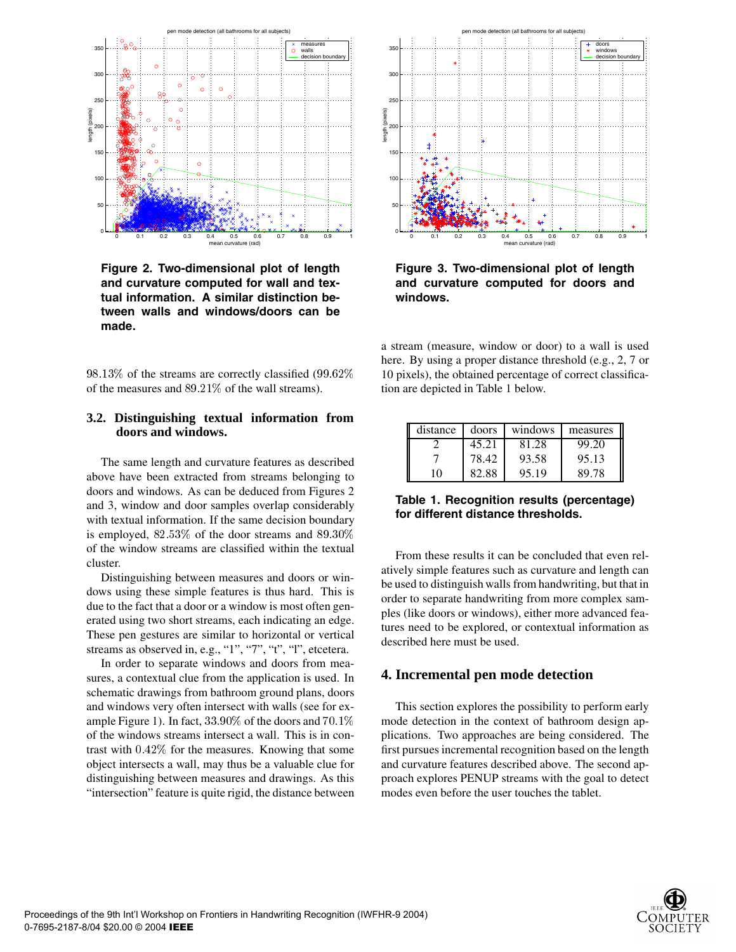

**Figure 2. Two-dimensional plot of length and curvature computed for wall and textual information. A similar distinction between walls and windows/doors can be made.**

 $98.13\%$  of the streams are correctly classified  $(99.62\%$  10 pixels) of the measures and  $89.21\%$  of the wall streams).

# **3.2. Distinguishing textual information from doors and windows.**

The same length and curvature features as described above have been extracted from streams belonging to doors and windows. As can be deduced from Figures 2 and 3, window and door samples overlap considerably with textual information. If the same decision boundary is employed,  $82.53\%$  of the door streams and  $89.30\%$ of the window streams are classified within the textual cluster.

Distinguishing between measures and doors or windows using these simple features is thus hard. This is due to the fact that a door or a window is most often generated using two short streams, each indicating an edge. These pen gestures are similar to horizontal or vertical streams as observed in, e.g., "1", "7", "t", "l", etcetera.

In order to separate windows and doors from measures, a contextual clue from the application is used. In schematic drawings from bathroom ground plans, doors and windows very often intersect with walls (see for example Figure 1). In fact,  $33.90\%$  of the doors and  $70.1\%$ of the windows streams intersect a wall. This is in contrast with  $0.42\%$  for the measures. Knowing that some object intersects a wall, may thus be a valuable clue for distinguishing between measures and drawings. As this "intersection" feature is quite rigid, the distance between



**Figure 3. Two-dimensional plot of length and curvature computed for doors and windows.**

a stream (measure, window or door) to a wall is used here. By using a proper distance threshold (e.g., 2, 7 or 10 pixels), the obtained percentage of correct classification are depicted in Table 1 below.

| distance | doors | windows | measures |
|----------|-------|---------|----------|
|          | 45.21 | 81.28   | 99.20    |
|          | 78.42 | 93.58   | 95.13    |
| 10       | 82.88 | 95.19   | 89.78    |

## **Table 1. Recognition results (percentage) for different distance thresholds.**

From these results it can be concluded that even relatively simple features such as curvature and length can be used to distinguish walls from handwriting, but that in order to separate handwriting from more complex samples (like doors or windows), either more advanced features need to be explored, or contextual information as described here must be used.

# **4. Incremental pen mode detection**

 mode detection in the context of bathroom design ap-This section explores the possibility to perform early plications. Two approaches are being considered. The first pursues incremental recognition based on the length and curvature features described above. The second approach explores PENUP streams with the goal to detect modes even before the user touches the tablet.

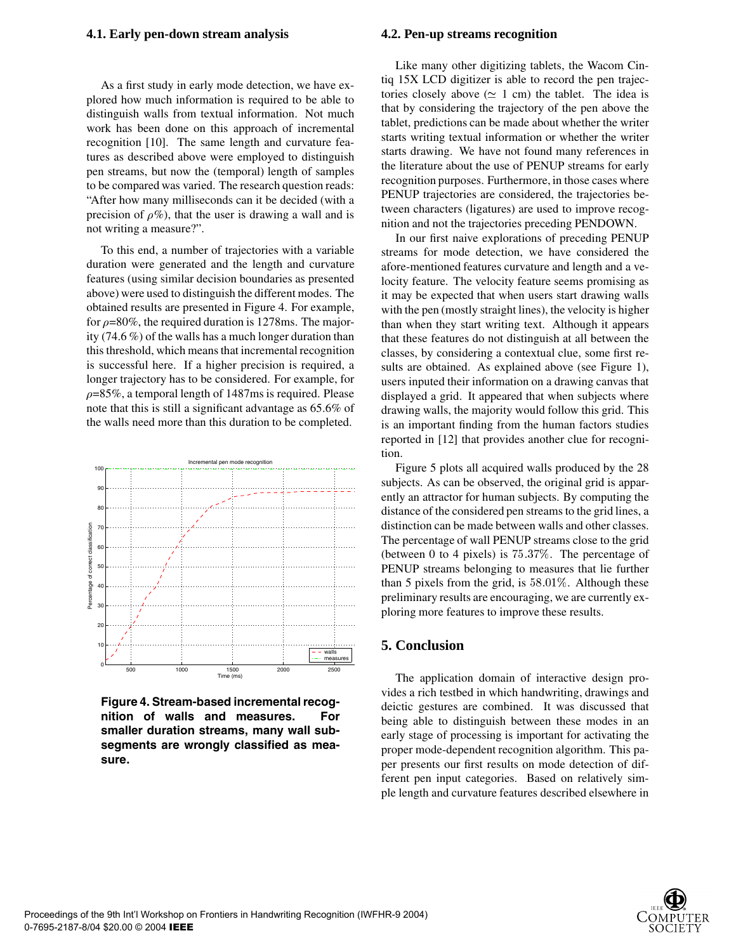#### **4.1. Early pen-down stream analysis**

As a first study in early mode detection, we have explored how much information is required to be able to distinguish walls from textual information. Not much work has been done on this approach of incremental recognition [10]. The same length and curvature features as described above were employed to distinguish pen streams, but now the (temporal) length of samples to be compared was varied. The research question reads: "After how many milliseconds can it be decided (with a precision of  $\rho\%$ ), that the user is drawing a wall and is not writing a measure?".

To this end, a number of trajectories with a variable duration were generated and the length and curvature features (using similar decision boundaries as presented above) were used to distinguish the different modes. The obtained results are presented in Figure 4. For example, for  $\rho$ =80%, the required duration is 1278ms. The majority (74.6 %) of the walls has a much longer duration than this threshold, which means that incremental recognition is successful here. If a higher precision is required, a longer trajectory has to be considered. For example, for  $\rho$ =85%, a temporal length of 1487ms is required. Please note that this is still a significant advantage as 65.6% of the walls need more than this duration to be completed.



**Figure 4. Stream-based incremental recognition of walls and measures. For smaller duration streams, many wall subsegments are wrongly classified as measure.**

#### **4.2. Pen-up streams recognition**

Like many other digitizing tablets, the Wacom Cintiq 15X LCD digitizer is able to record the pen trajectories closely above ( $\simeq$  1 cm) the tablet. The idea is that by considering the trajectory of the pen above the tablet, predictions can be made about whether the writer starts writing textual information or whether the writer starts drawing. We have not found many references in the literature about the use of PENUP streams for early recognition purposes. Furthermore, in those cases where PENUP trajectories are considered, the trajectories between characters (ligatures) are used to improve recognition and not the trajectories preceding PENDOWN.

In our first naive explorations of preceding PENUP streams for mode detection, we have considered the afore-mentioned features curvature and length and a velocity feature. The velocity feature seems promising as it may be expected that when users start drawing walls with the pen (mostly straight lines), the velocity is higher than when they start writing text. Although it appears that these features do not distinguish at all between the classes, by considering a contextual clue, some first results are obtained. As explained above (see Figure 1), users inputed their information on a drawing canvas that displayed a grid. It appeared that when subjects where drawing walls, the majority would follow this grid. This is an important finding from the human factors studies reported in [12] that provides another clue for recognition.

Figure 5 plots all acquired walls produced by the 28 subjects. As can be observed, the original grid is apparently an attractor for human subjects. By computing the distance of the considered pen streams to the grid lines, a distinction can be made between walls and other classes. The percentage of wall PENUP streams close to the grid (between 0 to 4 pixels) is  $75.37\%$ . The percentage of PENUP streams belonging to measures that lie further than 5 pixels from the grid, is  $58.01\%$ . Although these preliminary results are encouraging, we are currently exploring more features to improve these results.

# **5. Conclusion**

The application domain of interactive design provides a rich testbed in which handwriting, drawings and deictic gestures are combined. It was discussed that being able to distinguish between these modes in an early stage of processing is important for activating the proper mode-dependent recognition algorithm. This paper presents our first results on mode detection of different pen input categories. Based on relatively simple length and curvature features described elsewhere in